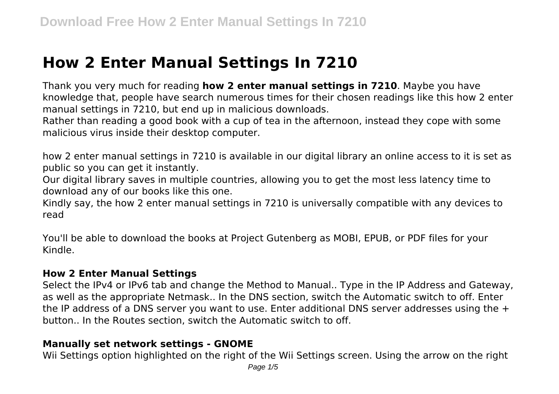# **How 2 Enter Manual Settings In 7210**

Thank you very much for reading **how 2 enter manual settings in 7210**. Maybe you have knowledge that, people have search numerous times for their chosen readings like this how 2 enter manual settings in 7210, but end up in malicious downloads.

Rather than reading a good book with a cup of tea in the afternoon, instead they cope with some malicious virus inside their desktop computer.

how 2 enter manual settings in 7210 is available in our digital library an online access to it is set as public so you can get it instantly.

Our digital library saves in multiple countries, allowing you to get the most less latency time to download any of our books like this one.

Kindly say, the how 2 enter manual settings in 7210 is universally compatible with any devices to read

You'll be able to download the books at Project Gutenberg as MOBI, EPUB, or PDF files for your Kindle.

## **How 2 Enter Manual Settings**

Select the IPv4 or IPv6 tab and change the Method to Manual.. Type in the IP Address and Gateway, as well as the appropriate Netmask.. In the DNS section, switch the Automatic switch to off. Enter the IP address of a DNS server you want to use. Enter additional DNS server addresses using the  $+$ button.. In the Routes section, switch the Automatic switch to off.

#### **Manually set network settings - GNOME**

Wii Settings option highlighted on the right of the Wii Settings screen. Using the arrow on the right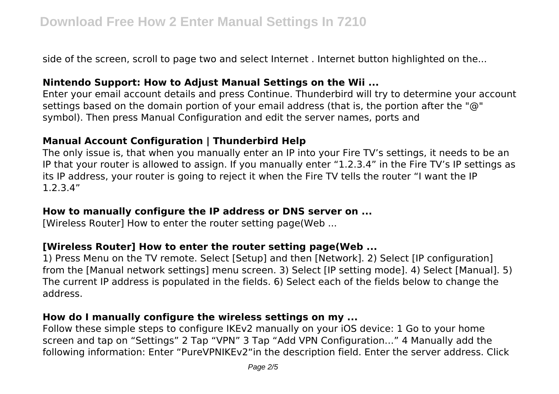side of the screen, scroll to page two and select Internet . Internet button highlighted on the...

## **Nintendo Support: How to Adjust Manual Settings on the Wii ...**

Enter your email account details and press Continue. Thunderbird will try to determine your account settings based on the domain portion of your email address (that is, the portion after the "@" symbol). Then press Manual Configuration and edit the server names, ports and

## **Manual Account Configuration | Thunderbird Help**

The only issue is, that when you manually enter an IP into your Fire TV's settings, it needs to be an IP that your router is allowed to assign. If you manually enter "1.2.3.4" in the Fire TV's IP settings as its IP address, your router is going to reject it when the Fire TV tells the router "I want the IP 1.2.3.4"

## **How to manually configure the IP address or DNS server on ...**

[Wireless Router] How to enter the router setting page(Web ...

# **[Wireless Router] How to enter the router setting page(Web ...**

1) Press Menu on the TV remote. Select [Setup] and then [Network]. 2) Select [IP configuration] from the [Manual network settings] menu screen. 3) Select [IP setting mode]. 4) Select [Manual]. 5) The current IP address is populated in the fields. 6) Select each of the fields below to change the address.

## **How do I manually configure the wireless settings on my ...**

Follow these simple steps to configure IKEv2 manually on your iOS device: 1 Go to your home screen and tap on "Settings" 2 Tap "VPN" 3 Tap "Add VPN Configuration…" 4 Manually add the following information: Enter "PureVPNIKEv2"in the description field. Enter the server address. Click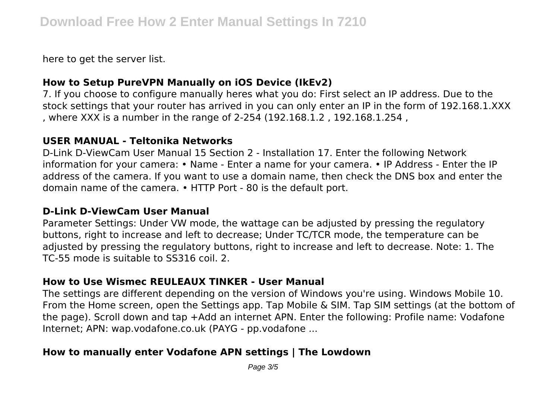here to get the server list.

## **How to Setup PureVPN Manually on iOS Device (IkEv2)**

7. If you choose to configure manually heres what you do: First select an IP address. Due to the stock settings that your router has arrived in you can only enter an IP in the form of 192.168.1.XXX , where XXX is a number in the range of 2-254 (192.168.1.2 , 192.168.1.254 ,

## **USER MANUAL - Teltonika Networks**

D-Link D-ViewCam User Manual 15 Section 2 - Installation 17. Enter the following Network information for your camera: • Name - Enter a name for your camera. • IP Address - Enter the IP address of the camera. If you want to use a domain name, then check the DNS box and enter the domain name of the camera. • HTTP Port - 80 is the default port.

#### **D-Link D-ViewCam User Manual**

Parameter Settings: Under VW mode, the wattage can be adjusted by pressing the regulatory buttons, right to increase and left to decrease; Under TC/TCR mode, the temperature can be adjusted by pressing the regulatory buttons, right to increase and left to decrease. Note: 1. The TC-55 mode is suitable to SS316 coil. 2.

# **How to Use Wismec REULEAUX TINKER - User Manual**

The settings are different depending on the version of Windows you're using. Windows Mobile 10. From the Home screen, open the Settings app. Tap Mobile & SIM. Tap SIM settings (at the bottom of the page). Scroll down and tap +Add an internet APN. Enter the following: Profile name: Vodafone Internet; APN: wap.vodafone.co.uk (PAYG - pp.vodafone ...

# **How to manually enter Vodafone APN settings | The Lowdown**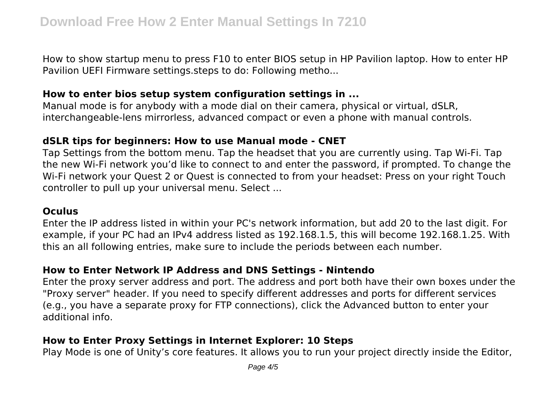How to show startup menu to press F10 to enter BIOS setup in HP Pavilion laptop. How to enter HP Pavilion UEFI Firmware settings.steps to do: Following metho...

#### **How to enter bios setup system configuration settings in ...**

Manual mode is for anybody with a mode dial on their camera, physical or virtual, dSLR, interchangeable-lens mirrorless, advanced compact or even a phone with manual controls.

## **dSLR tips for beginners: How to use Manual mode - CNET**

Tap Settings from the bottom menu. Tap the headset that you are currently using. Tap Wi-Fi. Tap the new Wi-Fi network you'd like to connect to and enter the password, if prompted. To change the Wi-Fi network your Quest 2 or Quest is connected to from your headset: Press on your right Touch controller to pull up your universal menu. Select ...

#### **Oculus**

Enter the IP address listed in within your PC's network information, but add 20 to the last digit. For example, if your PC had an IPv4 address listed as 192.168.1.5, this will become 192.168.1.25. With this an all following entries, make sure to include the periods between each number.

# **How to Enter Network IP Address and DNS Settings - Nintendo**

Enter the proxy server address and port. The address and port both have their own boxes under the "Proxy server" header. If you need to specify different addresses and ports for different services (e.g., you have a separate proxy for FTP connections), click the Advanced button to enter your additional info.

# **How to Enter Proxy Settings in Internet Explorer: 10 Steps**

Play Mode is one of Unity's core features. It allows you to run your project directly inside the Editor,